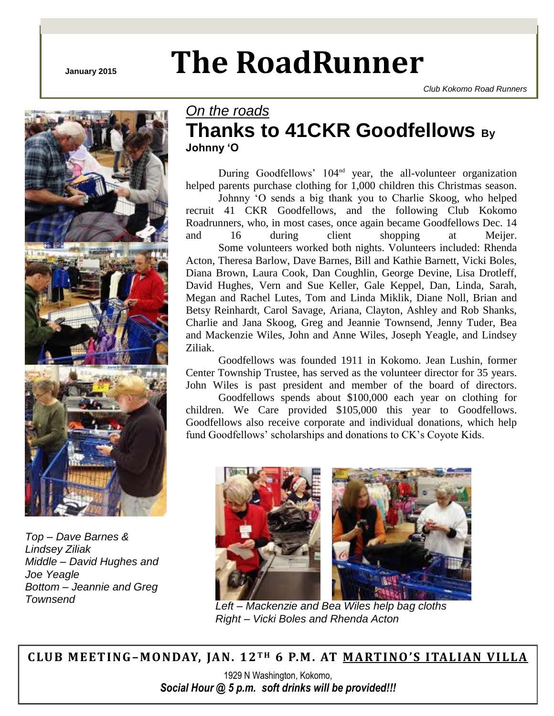# **January 2015 The RoadRunner**



*Top – Dave Barnes & Lindsey Ziliak Middle – David Hughes and Joe Yeagle Bottom – Jeannie and Greg* 

# *On the roads* **Thanks to 41CKR Goodfellows By Johnny 'O**

*Club Kokomo Road Runners*

During Goodfellows' 104<sup>nd</sup> year, the all-volunteer organization helped parents purchase clothing for 1,000 children this Christmas season.

Johnny 'O sends a big thank you to Charlie Skoog, who helped recruit 41 CKR Goodfellows, and the following Club Kokomo Roadrunners, who, in most cases, once again became Goodfellows Dec. 14 and 16 during client shopping at Meijer.

Some volunteers worked both nights. Volunteers included: Rhenda Acton, Theresa Barlow, Dave Barnes, Bill and Kathie Barnett, Vicki Boles, Diana Brown, Laura Cook, Dan Coughlin, George Devine, Lisa Drotleff, David Hughes, Vern and Sue Keller, Gale Keppel, Dan, Linda, Sarah, Megan and Rachel Lutes, Tom and Linda Miklik, Diane Noll, Brian and Betsy Reinhardt, Carol Savage, Ariana, Clayton, Ashley and Rob Shanks, Charlie and Jana Skoog, Greg and Jeannie Townsend, Jenny Tuder, Bea and Mackenzie Wiles, John and Anne Wiles, Joseph Yeagle, and Lindsey Ziliak.

Goodfellows was founded 1911 in Kokomo. Jean Lushin, former Center Township Trustee, has served as the volunteer director for 35 years. John Wiles is past president and member of the board of directors.

Goodfellows spends about \$100,000 each year on clothing for children. We Care provided \$105,000 this year to Goodfellows. Goodfellows also receive corporate and individual donations, which help fund Goodfellows' scholarships and donations to CK's Coyote Kids.



*Right – Vicki Boles and Rhenda Acton*

**C LUB MEET ING–M ONDAY, JAN. 12 T H 6 P.M . AT M ARTI NO 'S ITALI AN VILLA**

1929 N Washington, Kokomo, *Social Hour @ 5 p.m. soft drinks will be provided!!!*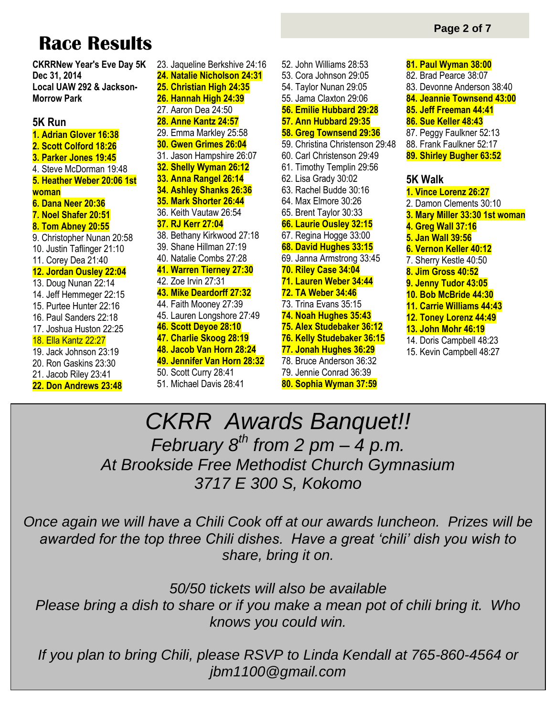# **Race Results**

**CKRRNew Year's Eve Day 5K Dec 31, 2014 Local UAW 292 & Jackson-Morrow Park**

# **5K Run**

**1. Adrian Glover 16:38 2. Scott Colford 18:26 3. Parker Jones 19:45** 4. Steve McDorman 19:48 **5. Heather Weber 20:06 1st woman 6. Dana Neer 20:36 7. Noel Shafer 20:51 8. Tom Abney 20:55** 9. Christopher Nunan 20:58 10. Justin Taflinger 21:10 11. Corey Dea 21:40 **12. Jordan Ousley 22:04** 13. Doug Nunan 22:14 14. Jeff Hemmeger 22:15 15. Purtee Hunter 22:16 16. Paul Sanders 22:18 17. Joshua Huston 22:25 18. Ella Kantz 22:27 19. Jack Johnson 23:19 20. Ron Gaskins 23:30 21. Jacob Riley 23:41

**22. Don Andrews 23:48**

23. Jaqueline Berkshive 24:16 **24. Natalie Nicholson 24:31 25. Christian High 24:35 26. Hannah High 24:39** 27. Aaron Dea 24:50 **28. Anne Kantz 24:57** 29. Emma Markley 25:58 **30. Gwen Grimes 26:04** 31. Jason Hampshire 26:07 **32. Shelly Wyman 26:12 33. Anna Rangel 26:14 34. Ashley Shanks 26:36 35. Mark Shorter 26:44** 36. Keith Vautaw 26:54 **37. RJ Kerr 27:04** 38. Bethany Kirkwood 27:18 39. Shane Hillman 27:19 40. Natalie Combs 27:28 **41. Warren Tierney 27:30** 42. Zoe Irvin 27:31 **43. Mike Deardorff 27:32** 44. Faith Mooney 27:39 45. Lauren Longshore 27:49 **46. Scott Deyoe 28:10 47. Charlie Skoog 28:19 48. Jacob Van Horn 28:24 49. Jennifer Van Horn 28:32** 50. Scott Curry 28:41 51. Michael Davis 28:41

52. John Williams 28:53 53. Cora Johnson 29:05 54. Taylor Nunan 29:05 55. Jama Claxton 29:06 **56. Emilie Hubbard 29:28 57. Ann Hubbard 29:35 58. Greg Townsend 29:36** 59. Christina Christenson 29:48 60. Carl Christenson 29:49 61. Timothy Templin 29:56 62. Lisa Grady 30:02 63. Rachel Budde 30:16 64. Max Elmore 30:26 65. Brent Taylor 30:33 **66. Laurie Ousley 32:15** 67. Regina Hogge 33:00 **68. David Hughes 33:15** 69. Janna Armstrong 33:45 **70. Riley Case 34:04 71. Lauren Weber 34:44 72. TA Weber 34:46** 73. Trina Evans 35:15 **74. Noah Hughes 35:43 75. Alex Studebaker 36:12 76. Kelly Studebaker 36:15 77. Jonah Hughes 36:29** 78. Bruce Anderson 36:32 79. Jennie Conrad 36:39

- **80. Sophia Wyman 37:59**
- **81. Paul Wyman 38:00** 82. Brad Pearce 38:07 83. Devonne Anderson 38:40 **84. Jeannie Townsend 43:00 85. Jeff Freeman 44:41 86. Sue Keller 48:43** 87. Peggy Faulkner 52:13 88. Frank Faulkner 52:17 **89. Shirley Bugher 63:52 5K Walk 1. Vince Lorenz 26:27** 2. Damon Clements 30:10 **3. Mary Miller 33:30 1st woman 4. Greg Wall 37:16 5. Jan Wall 39:56 6. Vernon Keller 40:12** 7. Sherry Kestle 40:50 **8. Jim Gross 40:52 9. Jenny Tudor 43:05 10. Bob McBride 44:30 11. Carrie Williams 44:43 12. Toney Lorenz 44:49 13. John Mohr 46:19** 14. Doris Campbell 48:23
- 15. Kevin Campbell 48:27

# *CKRR Awards Banquet!! February 8th from 2 pm – 4 p.m. At Brookside Free Methodist Church Gymnasium 3717 E 300 S, Kokomo*

*Once again we will have a Chili Cook off at our awards luncheon. Prizes will be awarded for the top three Chili dishes. Have a great 'chili' dish you wish to share, bring it on.* 

*50/50 tickets will also be available Please bring a dish to share or if you make a mean pot of chili bring it. Who knows you could win.*

*If you plan to bring Chili, please RSVP to Linda Kendall at 765-860-4564 or jbm1100@gmail.com*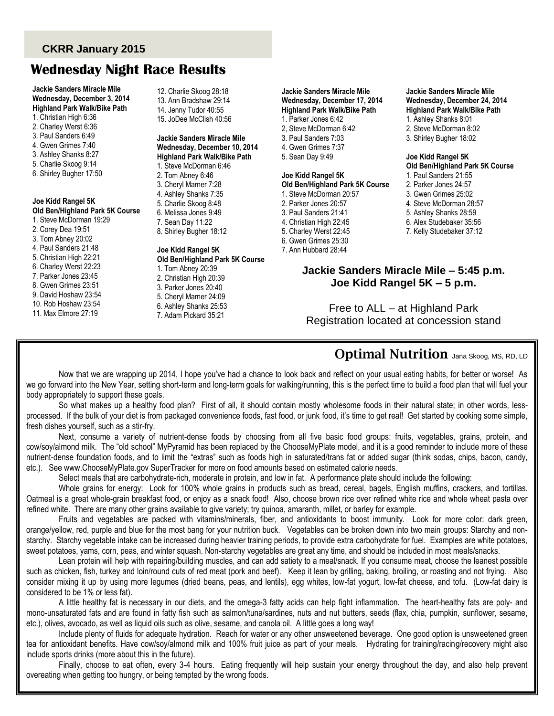# **CKRR January 2015**

# **Wednesday Night Race Results**

**Jackie Sanders Miracle Mile Wednesday, December 3, 2014 Highland Park Walk/Bike Path** 1. Christian High 6:36

- 2. Charley Werst 6:36
- 3. Paul Sanders 6:49
- 4. Gwen Grimes 7:40
- 3. Ashley Shanks 8:27
- 5. Charlie Skoog 9:14
- 6. Shirley Bugher 17:50

**Joe Kidd Rangel 5K Old Ben/Highland Park 5K Course**

# 1. Steve McDorman 19:29

- 2. Corey Dea 19:51 3. Tom Abney 20:02
- 4. Paul Sanders 21:48
- 5. Christian High 22:21
- 6. Charley Werst 22:23
- 7. Parker Jones 23:45
- 8. Gwen Grimes 23:51
- 9. David Hoshaw 23:54
- 10. Rob Hoshaw 23:54
- 11. Max Elmore 27:19

12. Charlie Skoog 28:18 13. Ann Bradshaw 29:14 14. Jenny Tudor 40:55 15. JoDee McClish 40:56

#### **Jackie Sanders Miracle Mile Wednesday, December 10, 2014 Highland Park Walk/Bike Path**

1. Steve McDorman 6:46 2. Tom Abney 6:46 3. Cheryl Marner 7:28 4. Ashley Shanks 7:35 5. Charlie Skoog 8:48 6. Melissa Jones 9:49 7. Sean Day 11:22 8. Shirley Bugher 18:12

#### **Joe Kidd Rangel 5K Old Ben/Highland Park 5K Course** 1. Tom Abney 20:39

2. Christian High 20:39 3. Parker Jones 20:40 5. Cheryl Marner 24:09 6. Ashley Shanks 25:53 7. Adam Pickard 35:21

#### **Jackie Sanders Miracle Mile Wednesday, December 17, 2014 Highland Park Walk/Bike Path** 1. Parker Jones 6:42 2, Steve McDorman 6:42

- 3. Paul Sanders 7:03
- 4. Gwen Grimes 7:37 5. Sean Day 9:49
- 

## **Joe Kidd Rangel 5K**

#### **Old Ben/Highland Park 5K Course** 1. Steve McDorman 20:57

- 2. Parker Jones 20:57
- 3. Paul Sanders 21:41
- 4. Christian High 22:45
- 5. Charley Werst 22:45
- 6. Gwen Grimes 25:30
- 7. Ann Hubbard 28:44

#### **Jackie Sanders Miracle Mile Wednesday, December 24, 2014 Highland Park Walk/Bike Path** 1. Ashley Shanks 8:01 2, Steve McDorman 8:02 3. Shirley Bugher 18:02

#### **Joe Kidd Rangel 5K Old Ben/Highland Park 5K Course**

1. Paul Sanders 21:55 2. Parker Jones 24:57 3. Gwen Grimes 25:02 4. Steve McDorman 28:57 5. Ashley Shanks 28:59 6. Alex Studebaker 35:56 7. Kelly Studebaker 37:12

# **Jackie Sanders Miracle Mile – 5:45 p.m. Joe Kidd Rangel 5K – 5 p.m.**

Free to ALL – at Highland Park Registration located at concession stand

# **Optimal Nutrition** Jana Skoog, MS, RD, LD

Now that we are wrapping up 2014, I hope you've had a chance to look back and reflect on your usual eating habits, for better or worse! As we go forward into the New Year, setting short-term and long-term goals for walking/running, this is the perfect time to build a food plan that will fuel your body appropriately to support these goals.

So what makes up a healthy food plan? First of all, it should contain mostly wholesome foods in their natural state; in other words, lessprocessed. If the bulk of your diet is from packaged convenience foods, fast food, or junk food, it's time to get real! Get started by cooking some simple, fresh dishes yourself, such as a stir-fry.

Next, consume a variety of nutrient-dense foods by choosing from all five basic food groups: fruits, vegetables, grains, protein, and cow/soy/almond milk. The "old school" MyPyramid has been replaced by the ChooseMyPlate model, and it is a good reminder to include more of these nutrient-dense foundation foods, and to limit the "extras" such as foods high in saturated/trans fat or added sugar (think sodas, chips, bacon, candy, etc.). See www.ChooseMyPlate.gov SuperTracker for more on food amounts based on estimated calorie needs.

Select meals that are carbohydrate-rich, moderate in protein, and low in fat. A performance plate should include the following:

Whole grains for energy: Look for 100% whole grains in products such as bread, cereal, bagels, English muffins, crackers, and tortillas. Oatmeal is a great whole-grain breakfast food, or enjoy as a snack food! Also, choose brown rice over refined white rice and whole wheat pasta over refined white. There are many other grains available to give variety; try quinoa, amaranth, millet, or barley for example.

Fruits and vegetables are packed with vitamins/minerals, fiber, and antioxidants to boost immunity. Look for more color: dark green, orange/yellow, red, purple and blue for the most bang for your nutrition buck. Vegetables can be broken down into two main groups: Starchy and nonstarchy. Starchy vegetable intake can be increased during heavier training periods, to provide extra carbohydrate for fuel. Examples are white potatoes, sweet potatoes, yams, corn, peas, and winter squash. Non-starchy vegetables are great any time, and should be included in most meals/snacks.

Lean protein will help with repairing/building muscles, and can add satiety to a meal/snack. If you consume meat, choose the leanest possible such as chicken, fish, turkey and loin/round cuts of red meat (pork and beef). Keep it lean by grilling, baking, broiling, or roasting and not frying. Also consider mixing it up by using more legumes (dried beans, peas, and lentils), egg whites, low-fat yogurt, low-fat cheese, and tofu. (Low-fat dairy is considered to be 1% or less fat).

A little healthy fat is necessary in our diets, and the omega-3 fatty acids can help fight inflammation. The heart-healthy fats are poly- and mono-unsaturated fats and are found in fatty fish such as salmon/tuna/sardines, nuts and nut butters, seeds (flax, chia, pumpkin, sunflower, sesame, etc.), olives, avocado, as well as liquid oils such as olive, sesame, and canola oil. A little goes a long way!

Include plenty of fluids for adequate hydration. Reach for water or any other unsweetened beverage. One good option is unsweetened green tea for antioxidant benefits. Have cow/soy/almond milk and 100% fruit juice as part of your meals. Hydrating for training/racing/recovery might also include sports drinks (more about this in the future).

Finally, choose to eat often, every 3-4 hours. Eating frequently will help sustain your energy throughout the day, and also help prevent overeating when getting too hungry, or being tempted by the wrong foods.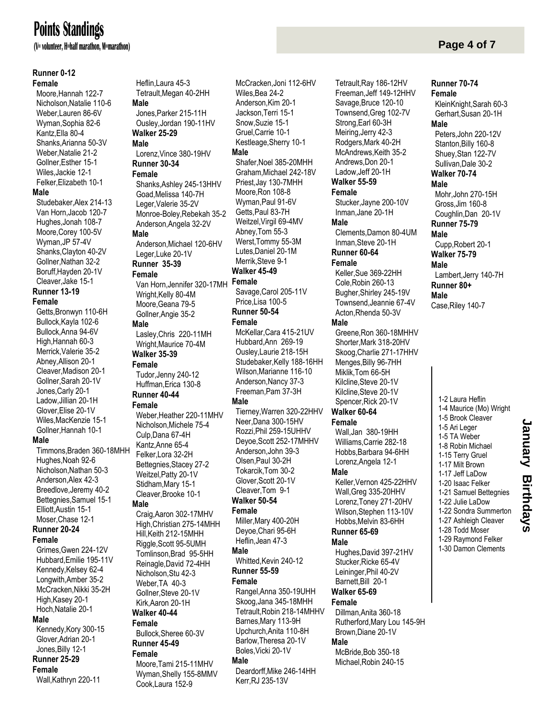# **Points Standings**

**(V= volunteer, H=half marathon, M=marathon)**

#### **Runner 0-12**

#### **Female**

 Moore,Hannah 122-7 Nicholson,Natalie 110-6 Weber,Lauren 86-6V Wyman,Sophia 82-6 Kantz,Ella 80-4 Shanks,Arianna 50-3V Weber,Natalie 21-2 Gollner,Esther 15-1 Wiles,Jackie 12-1 Felker,Elizabeth 10-1 **Male** Studebaker,Alex 214-13 Van Horn,Jacob 120-7 Hughes,Jonah 108-7 Moore,Corey 100-5V Wyman,JP 57-4V Shanks,Clayton 40-2V Gollner,Nathan 32-2 Boruff,Hayden 20-1V Cleaver,Jake 15-1 **Runner 13-19 Female** Getts,Bronwyn 110-6H Bullock,Kayla 102-6 Bullock,Anna 94-6V

 High,Hannah 60-3 Merrick,Valerie 35-2 Abney,Allison 20-1 Cleaver,Madison 20-1 Gollner,Sarah 20-1V Jones,Carly 20-1 Ladow,Jillian 20-1H Glover,Elise 20-1V Wiles,MacKenzie 15-1 Gollner,Hannah 10-1 **Male**

 Timmons,Braden 360-18MHH Hughes,Noah 92-6 Nicholson,Nathan 50-3 Anderson,Alex 42-3 Breedlove,Jeremy 40-2 Bettegnies,Samuel 15-1 Elliott,Austin 15-1 Moser,Chase 12-1 **Runner 20-24**

#### **Female**

 Grimes,Gwen 224-12V Hubbard,Emilie 195-11V Kennedy,Kelsey 62-4 Longwith,Amber 35-2 McCracken,Nikki 35-2H High,Kasey 20-1 Hoch,Natalie 20-1 **Male** Kennedy,Kory 300-15 Glover,Adrian 20-1 Jones,Billy 12-1 **Runner 25-29 Female**

Wall,Kathryn 220-11

 Heflin,Laura 45-3 Tetrault,Megan 40-2HH **Male** Jones,Parker 215-11H Ousley,Jordan 190-11HV **Walker 25-29 Male** Lorenz,Vince 380-19HV **Runner 30-34 Female** Shanks,Ashley 245-13HHV Goad,Melissa 140-7H Leger,Valerie 35-2V Anderson,Angela 32-2V **Male** Anderson,Michael 120-6HV

Monroe-Boley,Rebekah 35-2

 Leger,Luke 20-1V **Runner 35-39**

# **Female**

 Van Horn,Jennifer 320-17MH Wright, Kelly 80-4M Moore,Geana 79-5 Gollner,Angie 35-2

## **Male**

 Lasley,Chris 220-11MH Wright,Maurice 70-4M **Walker 35-39**

#### **Female**

 Tudor,Jenny 240-12 Huffman,Erica 130-8

#### **Runner 40-44 Female**

 Weber,Heather 220-11MHV Nicholson,Michele 75-4 Culp,Dana 67-4H Kantz,Anne 65-4 Felker,Lora 32-2H Bettegnies,Stacey 27-2 Weitzel,Patty 20-1V Stidham,Mary 15-1 Cleaver,Brooke 10-1

#### **Male**

 Craig,Aaron 302-17MHV High,Christian 275-14MHH Hill,Keith 212-15MHH Riggle,Scott 95-5UMH Tomlinson,Brad 95-5HH Reinagle,David 72-4HH Nicholson,Stu 42-3 Weber,TA 40-3 Gollner,Steve 20-1V Kirk,Aaron 20-1H **Walker 40-44**

#### **Female**

 Bullock,Sheree 60-3V **Runner 45-49 Female**

 Moore,Tami 215-11MHV Wyman,Shelly 155-8MMV Cook,Laura 152-9

 McCracken,Joni 112-6HV Wiles,Bea 24-2 Anderson,Kim 20-1 Jackson,Terri 15-1 Snow,Suzie 15-1 Gruel,Carrie 10-1 Kestleage,Sherry 10-1 **Male**

 Shafer,Noel 385-20MHH Graham,Michael 242-18V Priest,Jay 130-7MHH Moore,Ron 108-8 Wyman,Paul 91-6V Getts,Paul 83-7H Weitzel,Virgil 69-4MV Abney,Tom 55-3 Werst,Tommy 55-3M Lutes,Daniel 20-1M Merrik,Steve 9-1 **Walker 45-49 Female** Savage,Carol 205-11V

 Price,Lisa 100-5 **Runner 50-54**

#### **Female**

 McKellar,Cara 415-21UV Hubbard,Ann 269-19 Ousley,Laurie 218-15H Studebaker,Kelly 188-16HH Wilson,Marianne 116-10 Anderson,Nancy 37-3 Freeman,Pam 37-3H

#### **Male**

 Tierney,Warren 320-22HHV Neer,Dana 300-15HV Rozzi,Phil 259-15UHHV Deyoe,Scott 252-17MHHV Anderson,John 39-3 Olsen,Paul 30-2H Tokarcik,Tom 30-2 Glover,Scott 20-1V Cleaver,Tom 9-1

## **Walker 50-54**

#### **Female**

 Miller,Mary 400-20H Deyoe,Chari 95-6H Heflin,Jean 47-3

#### **Male**

Whitted.Kevin 240-12 **Runner 55-59**

#### **Female**

 Rangel,Anna 350-19UHH Skoog,Jana 345-18MHH Tetrault,Robin 218-14MHHV Barnes,Mary 113-9H Upchurch,Anita 110-8H Barlow,Theresa 20-1V Boles,Vicki 20-1V

#### **Male**

 Deardorff,Mike 246-14HH Kerr,RJ 235-13V

 Townsend,Greg 102-7V Strong,Earl 60-3H Meiring,Jerry 42-3 Rodgers,Mark 40-2H McAndrews,Keith 35-2 Andrews,Don 20-1 Ladow,Jeff 20-1H **Walker 55-59 Female** Stucker,Jayne 200-10V Inman,Jane 20-1H **Male** Clements,Damon 80-4UM Inman,Steve 20-1H **Runner 60-64 Female** Keller,Sue 369-22HH Cole,Robin 260-13 Bugher,Shirley 245-19V Townsend,Jeannie 67-4V Acton,Rhenda 50-3V **Male** Greene,Ron 360-18MHHV Shorter,Mark 318-20HV Skoog,Charlie 271-17HHV Menges,Billy 96-7HH Miklik,Tom 66-5H Kilcline,Steve 20-1V Kilcline,Steve 20-1V Spencer,Rick 20-1V

 Tetrault,Ray 186-12HV Freeman,Jeff 149-12HHV Savage,Bruce 120-10

#### **Walker 60-64**

**Female**

 Wall,Jan 380-19HH Williams,Carrie 282-18 Hobbs,Barbara 94-6HH Lorenz,Angela 12-1

#### **Male**

 Keller,Vernon 425-22HHV Wall,Greg 335-20HHV Lorenz,Toney 271-20HV Wilson,Stephen 113-10V Hobbs,Melvin 83-6HH

#### **Runner 65-69 Male**

 Hughes,David 397-21HV Stucker,Ricke 65-4V Leininger,Phil 40-2V Barnett,Bill 20-1

## **Walker 65-69**

#### **Female**

 Dillman,Anita 360-18 Rutherford,Mary Lou 145-9H Brown,Diane 20-1V

#### **Male**

 McBride,Bob 350-18 Michael,Robin 240-15

# **Runner 70-74**

**Page 4 of 7**

**Female** KleinKnight,Sarah 60-3 Gerhart,Susan 20-1H **Male** Peters,John 220-12V Stanton,Billy 160-8 Shuey,Stan 122-7V Sullivan,Dale 30-2 **Walker 70-74 Male** Mohr,John 270-15H Gross,Jim 160-8 Coughlin,Dan 20-1V **Runner 75-79 Male** Cupp,Robert 20-1 **Walker 75-79 Male** Lambert,Jerry 140-7H **Runner 80+ Male** Case,Riley 140-7

1-2 Laura Heflin 1-4 Maurice (Mo) Wright 1-5 Brook Cleaver 1-5 Ari Leger 1-5 TA Weber 1-8 Robin Michael 1-15 Terry Gruel 1-17 Milt Brown 1-17 Jeff LaDow 1-20 Isaac Felker 1-21 Samuel Bettegnies 1-22 Julie LaDow 1-22 Sondra Summerton 1-27 Ashleigh Cleaver 1-28 Todd Moser

# 1-29 Raymond Felker

1-30 Damon Clements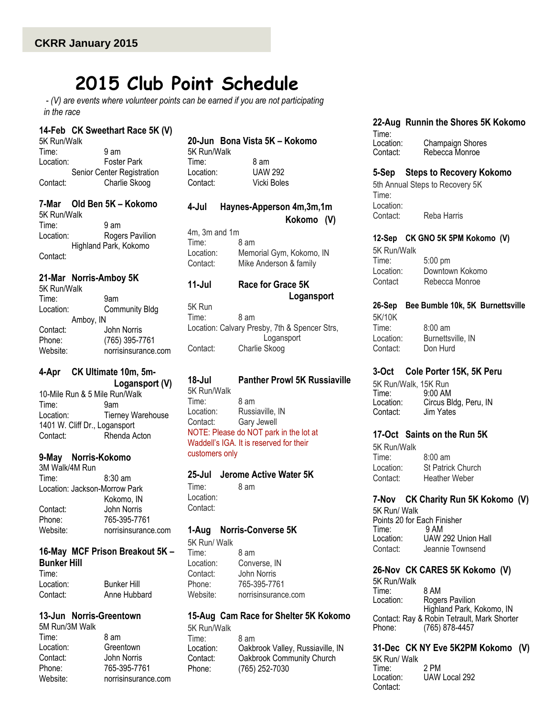# **2015 Club Point Schedule**

*- (V) are events where volunteer points can be earned if you are not participating in the race*

#### **14-Feb CK Sweethart Race 5K (V)**

| 5K Run/Walk                |                    |
|----------------------------|--------------------|
| Time:                      | 9 am               |
| Location:                  | <b>Foster Park</b> |
| Senior Center Registration |                    |
| Contact:                   | Charlie Skoog      |

### **7-Mar Old Ben 5K – Kokomo**

5K Run/Walk Time: 9 am Location: Rogers Pavilion Highland Park, Kokomo Contact:

#### **21-Mar Norris-Amboy 5K**

| 5K Run/Walk |                       |  |
|-------------|-----------------------|--|
| Time:       | 9am                   |  |
| Location:   | <b>Community Bldg</b> |  |
| Amboy, IN   |                       |  |
| Contact:    | John Norris           |  |
| Phone:      | (765) 395-7761        |  |
| Website:    | norrisinsurance.com   |  |

# **4-Apr CK Ultimate 10m, 5m-**

 **Logansport (V)** 10-Mile Run & 5 Mile Run/Walk Time: 9am Location: Tierney Warehouse 1401 W. Cliff Dr., Logansport Contact: Rhenda Acton

#### **9-May Norris-Kokomo**

3M Walk/4M Run Time: 8:30 am Location: Jackson-Morrow Park Kokomo, IN Contact: John Norris Phone: 765-395-7761 Website: norrisinsurance.com

#### **16-May MCF Prison Breakout 5K – Bunker Hill**

| Time∶     |                    |
|-----------|--------------------|
| Location: | <b>Bunker Hill</b> |
| Contact:  | Anne Hubbard       |

# **13-Jun Norris-Greentown**

5M Run/3M Walk Time: 8 am Location: Greentown Contact: John Norris Phone: 765-395-7761 Website: norrisinsurance.com

#### **20-Jun Bona Vista 5K – Kokomo** 5K Run/Walk

Time: 8 am Location: UAW 292 Contact: Vicki Boles

## **4-Jul Haynes-Apperson 4m,3m,1m Kokomo (V)**

4m, 3m and 1m Time: 8 am Location: Memorial Gym, Kokomo, IN Contact: Mike Anderson & family

# **11-Jul Race for Grace 5K Logansport**

5K Run Time: 8 am Location: Calvary Presby, 7th & Spencer Strs, Logansport Contact: Charlie Skoog

#### **18-Jul Panther Prowl 5K Russiaville** 5K Run/Walk

Time: 8 am Location: Russiaville, IN Contact: Gary Jewell NOTE: Please do NOT park in the lot at Waddell's IGA. It is reserved for their customers only

#### **25-Jul Jerome Active Water 5K**

Time: 8 am Location: Contact:

#### **1-Aug Norris-Converse 5K**

5K Run/ Walk Time: 8 am Location: Converse, IN Contact: John Norris Phone: 765-395-7761 Website: norrisinsurance.com

#### **15-Aug Cam Race for Shelter 5K Kokomo** 5K Run/Walk

Time: 8 am<br>Location: Oakb Oakbrook Valley, Russiaville, IN Contact: Oakbrook Community Church Phone: (765) 252-7030

**22-Aug Runnin the Shores 5K Kokomo**

#### Time:<br>Location: Champaign Shores Contact: Rebecca Monroe

#### **5-Sep Steps to Recovery Kokomo**

5th Annual Steps to Recovery 5K Time: Location: Contact: Reba Harris

#### **12-Sep CK GNO 5K 5PM Kokomo (V)**

5K Run/Walk Time: 5:00 pm Location: Downtown Kokomo Contact Rebecca Monroe

### **26-Sep Bee Bumble 10k, 5K Burnettsville**

5K/10K Time: 8:00 am<br>Location: Burnetts Burnettsville, IN Contact: Don Hurd

# **3-Oct Cole Porter 15K, 5K Peru**

5K Run/Walk, 15K Run Time: 9:00 AM<br>Location: Circus B Circus Bldg, Peru, IN<br>Jim Yates Contact:

#### **17-Oct Saints on the Run 5K**

5K Run/Walk Time: 8:00 am Location: St Patrick Church Contact: Heather Weber

## **7-Nov CK Charity Run 5K Kokomo (V)**

5K Run/ Walk Points 20 for Each Finisher<br>Time: 9 AM Time<sup>.</sup> Location: UAW 292 Union Hall Contact: Jeannie Townsend

# **26-Nov CK CARES 5K Kokomo (V)**

5K Run/Walk Time: 8 AM Location: Rogers Pavilion Highland Park, Kokomo, IN Contact: Ray & Robin Tetrault, Mark Shorter<br>Phone: (765) 878-4457 Phone: (765) 878-4457

## **31-Dec CK NY Eve 5K2PM Kokomo (V)** 5K Run/ Walk Time: 2 PM

Location: UAW Local 292 Contact: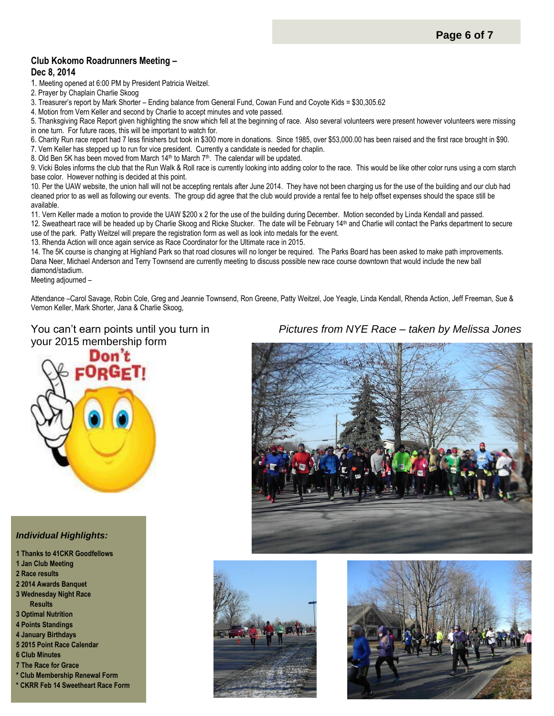#### **Club Kokomo Roadrunners Meeting – Dec 8, 2014**

1. Meeting opened at 6:00 PM by President Patricia Weitzel.

2. Prayer by Chaplain Charlie Skoog

3. Treasurer's report by Mark Shorter – Ending balance from General Fund, Cowan Fund and Coyote Kids = \$30,305.62

4. Motion from Vern Keller and second by Charlie to accept minutes and vote passed.

5. Thanksgiving Race Report given highlighting the snow which fell at the beginning of race. Also several volunteers were present however volunteers were missing in one turn. For future races, this will be important to watch for.

6. Charity Run race report had 7 less finishers but took in \$300 more in donations. Since 1985, over \$53,000.00 has been raised and the first race brought in \$90.

7. Vern Keller has stepped up to run for vice president. Currently a candidate is needed for chaplin.

8. Old Ben 5K has been moved from March 14<sup>th</sup> to March 7<sup>th</sup>. The calendar will be updated.

9. Vicki Boles informs the club that the Run Walk & Roll race is currently looking into adding color to the race. This would be like other color runs using a corn starch base color. However nothing is decided at this point.

10. Per the UAW website, the union hall will not be accepting rentals after June 2014. They have not been charging us for the use of the building and our club had cleaned prior to as well as following our events. The group did agree that the club would provide a rental fee to help offset expenses should the space still be available.

11. Vern Keller made a motion to provide the UAW \$200 x 2 for the use of the building during December. Motion seconded by Linda Kendall and passed. 12. Sweatheart race will be headed up by Charlie Skoog and Ricke Stucker. The date will be February 14<sup>th</sup> and Charlie will contact the Parks department to secure use of the park. Patty Weitzel will prepare the registration form as well as look into medals for the event.

13. Rhenda Action will once again service as Race Coordinator for the Ultimate race in 2015.

14. The 5K course is changing at Highland Park so that road closures will no longer be required. The Parks Board has been asked to make path improvements. Dana Neer, Michael Anderson and Terry Townsend are currently meeting to discuss possible new race course downtown that would include the new ball diamond/stadium.

Meeting adjourned –

Attendance –Carol Savage, Robin Cole, Greg and Jeannie Townsend, Ron Greene, Patty Weitzel, Joe Yeagle, Linda Kendall, Rhenda Action, Jeff Freeman, Sue & Vernon Keller, Mark Shorter, Jana & Charlie Skoog,

# You can't earn points until you turn in your 2015 membership form



#### *Individual Highlights:*

**1 Thanks to 41CKR Goodfellows 1 Jan Club Meeting 2 Race results 2 2014 Awards Banquet 3 Wednesday Night Race Results 3 Optimal Nutrition 4 Points Standings 4 January Birthdays 5 2015 Point Race Calendar 6 Club Minutes 7 The Race for Grace \* Club Membership Renewal Form \* CKRR Feb 14 Sweetheart Race Form**







# *Pictures from NYE Race – taken by Melissa Jones*